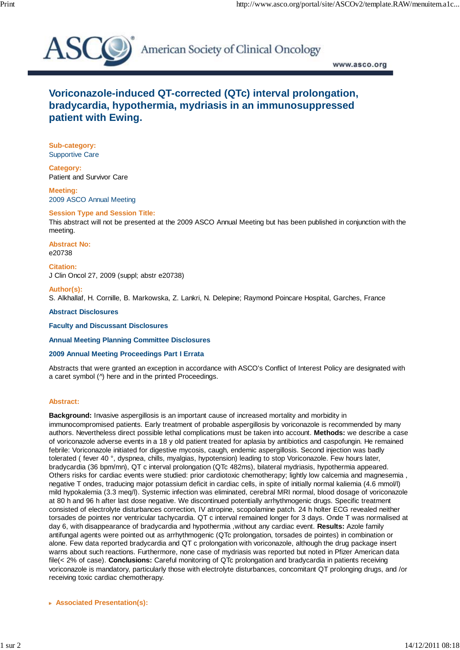

American Society of Clinical Oncology

www.asco.org

# **Voriconazole-induced QT-corrected (QTc) interval prolongation, bradycardia, hypothermia, mydriasis in an immunosuppressed patient with Ewing.**

**Sub-category:** Supportive Care

**Category:** Patient and Survivor Care

**Meeting:** 2009 ASCO Annual Meeting

## **Session Type and Session Title:**

This abstract will not be presented at the 2009 ASCO Annual Meeting but has been published in conjunction with the meeting.

**Abstract No:** e20738

**Citation:** J Clin Oncol 27, 2009 (suppl; abstr e20738)

### **Author(s):**

S. Alkhallaf, H. Cornille, B. Markowska, Z. Lankri, N. Delepine; Raymond Poincare Hospital, Garches, France

### **Abstract Disclosures**

**Faculty and Discussant Disclosures**

**Annual Meeting Planning Committee Disclosures**

### **2009 Annual Meeting Proceedings Part I Errata**

Abstracts that were granted an exception in accordance with ASCO's Conflict of Interest Policy are designated with a caret symbol (^) here and in the printed Proceedings.

### **Abstract:**

**Background:** Invasive aspergillosis is an important cause of increased mortality and morbidity in immunocompromised patients. Early treatment of probable aspergillosis by voriconazole is recommended by many authors. Nevertheless direct possible lethal complications must be taken into account. **Methods:** we describe a case of voriconazole adverse events in a 18 y old patient treated for aplasia by antibiotics and caspofungin. He remained febrile: Voriconazole initiated for digestive mycosis, caugh, endemic aspergillosis. Second injection was badly tolerated ( fever 40 °, dyspnea, chills, myalgias, hypotension) leading to stop Voriconazole. Few hours later, bradycardia (36 bpm/mn), QT c interval prolongation (QTc 482ms), bilateral mydriasis, hypothermia appeared. Others risks for cardiac events were studied: prior cardiotoxic chemotherapy; lightly low calcemia and magnesemia , negative T ondes, traducing major potassium deficit in cardiac cells, in spite of initially normal kaliemia (4.6 mmol/l) mild hypokalemia (3.3 meq/l). Systemic infection was eliminated, cerebral MRI normal, blood dosage of voriconazole at 80 h and 96 h after last dose negative. We discontinued potentially arrhythmogenic drugs. Specific treatment consisted of electrolyte disturbances correction, IV atropine, scopolamine patch. 24 h holter ECG revealed neither torsades de pointes nor ventricular tachycardia. QT c interval remained longer for 3 days. Onde T was normalised at day 6, with disappearance of bradycardia and hypothermia ,without any cardiac event. **Results:** Azole family antifungal agents were pointed out as arrhythmogenic (QTc prolongation, torsades de pointes) in combination or alone. Few data reported bradycardia and QT c prolongation with voriconazole, although the drug package insert warns about such reactions. Furthermore, none case of mydriasis was reported but noted in Pfizer American data file(< 2% of case). **Conclusions:** Careful monitoring of QTc prolongation and bradycardia in patients receiving voriconazole is mandatory, particularly those with electrolyte disturbances, concomitant QT prolonging drugs, and /or receiving toxic cardiac chemotherapy.

 **Associated Presentation(s):**